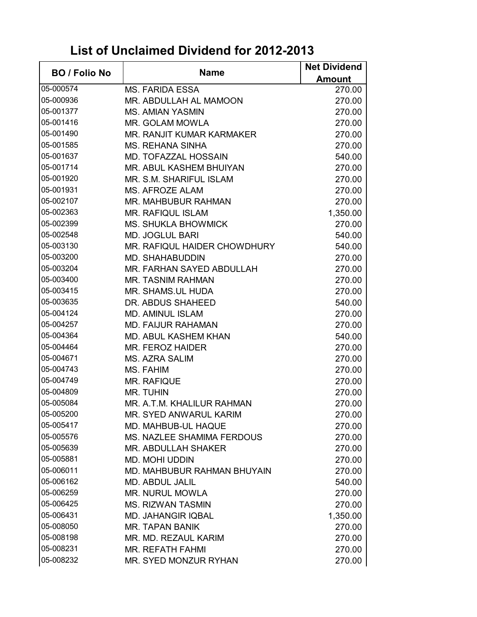## **List of Unclaimed Dividend for 2012-2013**

| <b>BO / Folio No</b> | <b>Name</b>                       | <b>Net Dividend</b> |
|----------------------|-----------------------------------|---------------------|
|                      |                                   | <b>Amount</b>       |
| 05-000574            | <b>MS. FARIDA ESSA</b>            | 270.00              |
| 05-000936            | MR. ABDULLAH AL MAMOON            | 270.00              |
| 05-001377            | <b>MS. AMIAN YASMIN</b>           | 270.00              |
| 05-001416            | <b>MR. GOLAM MOWLA</b>            | 270.00              |
| 05-001490            | MR. RANJIT KUMAR KARMAKER         | 270.00              |
| 05-001585            | <b>MS. REHANA SINHA</b>           | 270.00              |
| 05-001637            | <b>MD. TOFAZZAL HOSSAIN</b>       | 540.00              |
| 05-001714            | MR. ABUL KASHEM BHUIYAN           | 270.00              |
| 05-001920            | MR. S.M. SHARIFUL ISLAM           | 270.00              |
| 05-001931            | <b>MS. AFROZE ALAM</b>            | 270.00              |
| 05-002107            | MR. MAHBUBUR RAHMAN               | 270.00              |
| 05-002363            | <b>MR. RAFIQUL ISLAM</b>          | 1,350.00            |
| 05-002399            | <b>MS. SHUKLA BHOWMICK</b>        | 270.00              |
| 05-002548            | <b>MD. JOGLUL BARI</b>            | 540.00              |
| 05-003130            | MR. RAFIQUL HAIDER CHOWDHURY      | 540.00              |
| 05-003200            | <b>MD. SHAHABUDDIN</b>            | 270.00              |
| 05-003204            | MR. FARHAN SAYED ABDULLAH         | 270.00              |
| 05-003400            | <b>MR. TASNIM RAHMAN</b>          | 270.00              |
| 05-003415            | MR. SHAMS.UL HUDA                 | 270.00              |
| 05-003635            | DR. ABDUS SHAHEED                 | 540.00              |
| 05-004124            | <b>MD. AMINUL ISLAM</b>           | 270.00              |
| 05-004257            | <b>MD. FAIJUR RAHAMAN</b>         | 270.00              |
| 05-004364            | <b>MD. ABUL KASHEM KHAN</b>       | 540.00              |
| 05-004464            | MR. FEROZ HAIDER                  | 270.00              |
| 05-004671            | <b>MS. AZRA SALIM</b>             | 270.00              |
| 05-004743            | MS. FAHIM                         | 270.00              |
| 05-004749            | <b>MR. RAFIQUE</b>                | 270.00              |
| 05-004809            | <b>MR. TUHIN</b>                  | 270.00              |
| 05-005084            | MR. A.T.M. KHALILUR RAHMAN        | 270.00              |
| 05-005200            | <b>MR. SYED ANWARUL KARIM</b>     | 270.00              |
| 05-005417            | MD. MAHBUB-UL HAQUE               | 270.00              |
| 05-005576            | <b>MS. NAZLEE SHAMIMA FERDOUS</b> | 270.00              |
| 05-005639            | MR. ABDULLAH SHAKER               | 270.00              |
| 05-005881            | <b>MD. MOHI UDDIN</b>             | 270.00              |
| 05-006011            | MD. MAHBUBUR RAHMAN BHUYAIN       | 270.00              |
| 05-006162            | <b>MD. ABDUL JALIL</b>            | 540.00              |
| 05-006259            | <b>MR. NURUL MOWLA</b>            | 270.00              |
| 05-006425            | <b>MS. RIZWAN TASMIN</b>          | 270.00              |
| 05-006431            | <b>MD. JAHANGIR IQBAL</b>         | 1,350.00            |
| 05-008050            | <b>MR. TAPAN BANIK</b>            | 270.00              |
| 05-008198            | MR. MD. REZAUL KARIM              | 270.00              |
| 05-008231            | <b>MR. REFATH FAHMI</b>           | 270.00              |
| 05-008232            | MR. SYED MONZUR RYHAN             | 270.00              |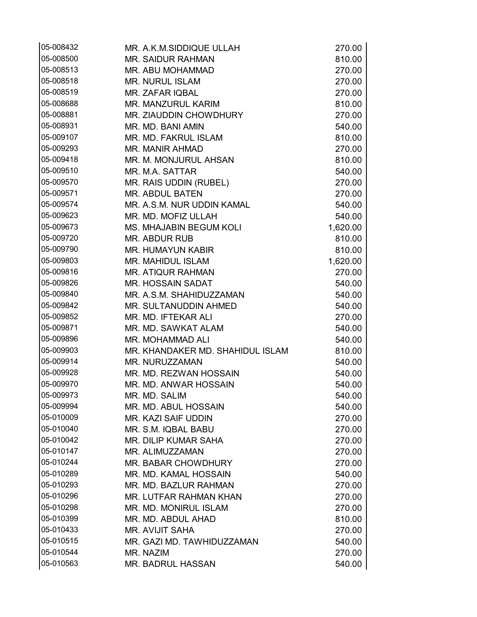| 05-008432              | MR. A.K.M.SIDDIQUE ULLAH                     | 270.00           |
|------------------------|----------------------------------------------|------------------|
| 05-008500              | <b>MR. SAIDUR RAHMAN</b>                     | 810.00           |
| 05-008513              | MR. ABU MOHAMMAD                             | 270.00           |
| 05-008518              | <b>MR. NURUL ISLAM</b>                       | 270.00           |
| 05-008519              | MR. ZAFAR IQBAL                              | 270.00           |
| 05-008688              | MR. MANZURUL KARIM                           | 810.00           |
| 05-008881              | MR. ZIAUDDIN CHOWDHURY                       | 270.00           |
| 05-008931              | MR. MD. BANI AMIN                            | 540.00           |
| 05-009107              | MR. MD. FAKRUL ISLAM                         | 810.00           |
| 05-009293              | <b>MR. MANIR AHMAD</b>                       | 270.00           |
| 05-009418              | MR. M. MONJURUL AHSAN                        | 810.00           |
| 05-009510              | MR. M.A. SATTAR                              | 540.00           |
| 05-009570              | MR. RAIS UDDIN (RUBEL)                       | 270.00           |
| 05-009571              | <b>MR. ABDUL BATEN</b>                       | 270.00           |
| 05-009574              | MR. A.S.M. NUR UDDIN KAMAL                   | 540.00           |
| 05-009623              | MR. MD. MOFIZ ULLAH                          | 540.00           |
| 05-009673              | MS. MHAJABIN BEGUM KOLI                      | 1,620.00         |
| 05-009720              | <b>MR. ABDUR RUB</b>                         | 810.00           |
| 05-009790              | <b>MR. HUMAYUN KABIR</b>                     | 810.00           |
| 05-009803              | <b>MR. MAHIDUL ISLAM</b>                     | 1,620.00         |
| 05-009816              | <b>MR. ATIQUR RAHMAN</b>                     | 270.00           |
| 05-009826              | <b>MR. HOSSAIN SADAT</b>                     | 540.00           |
| 05-009840              | MR. A.S.M. SHAHIDUZZAMAN                     | 540.00           |
| 05-009842              | MR. SULTANUDDIN AHMED                        | 540.00           |
| 05-009852              | MR. MD. IFTEKAR ALI                          | 270.00           |
| 05-009871              | MR. MD. SAWKAT ALAM                          | 540.00           |
| 05-009896              | MR. MOHAMMAD ALI                             | 540.00           |
| 05-009903              | MR. KHANDAKER MD. SHAHIDUL ISLAM             | 810.00           |
| 05-009914              | MR. NURUZZAMAN                               | 540.00           |
| 05-009928              | MR. MD. REZWAN HOSSAIN                       | 540.00           |
| 05-009970              | MR. MD. ANWAR HOSSAIN                        | 540.00           |
| 05-009973              | MR. MD. SALIM                                | 540.00           |
| 05-009994              | MR. MD. ABUL HOSSAIN                         | 540.00           |
| 05-010009              | <b>MR. KAZI SAIF UDDIN</b>                   | 270.00           |
| 05-010040              | MR. S.M. IQBAL BABU                          | 270.00           |
| 05-010042              | MR. DILIP KUMAR SAHA                         | 270.00           |
| 05-010147<br>05-010244 | MR. ALIMUZZAMAN                              | 270.00           |
|                        | <b>MR. BABAR CHOWDHURY</b>                   | 270.00           |
| 05-010289<br>05-010293 | MR. MD. KAMAL HOSSAIN                        | 540.00           |
| 05-010296              | MR. MD. BAZLUR RAHMAN                        | 270.00           |
| 05-010298              | MR. LUTFAR RAHMAN KHAN                       | 270.00           |
| 05-010399              | <b>MR. MD. MONIRUL ISLAM</b>                 | 270.00           |
| 05-010433              | MR. MD. ABDUL AHAD<br><b>MR. AVIJIT SAHA</b> | 810.00           |
| 05-010515              | MR. GAZI MD. TAWHIDUZZAMAN                   | 270.00<br>540.00 |
| 05-010544              | MR. NAZIM                                    | 270.00           |
| 05-010563              | <b>MR. BADRUL HASSAN</b>                     | 540.00           |
|                        |                                              |                  |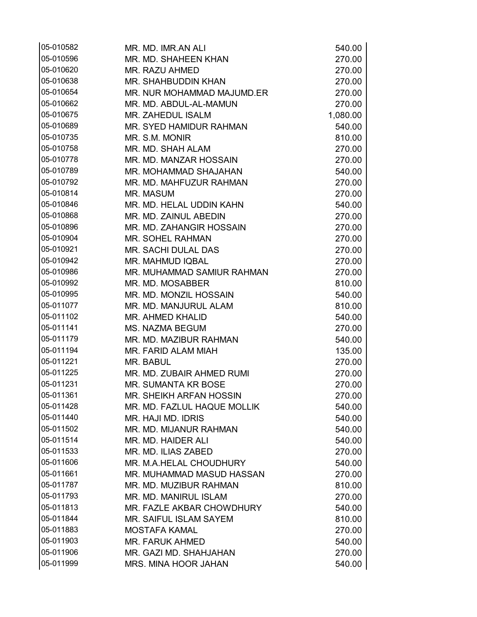| 05-010582 | MR. MD. IMR.AN ALI             | 540.00   |
|-----------|--------------------------------|----------|
| 05-010596 | MR. MD. SHAHEEN KHAN           | 270.00   |
| 05-010620 | <b>MR. RAZU AHMED</b>          | 270.00   |
| 05-010638 | MR. SHAHBUDDIN KHAN            | 270.00   |
| 05-010654 | MR. NUR MOHAMMAD MAJUMD.ER     | 270.00   |
| 05-010662 | MR. MD. ABDUL-AL-MAMUN         | 270.00   |
| 05-010675 | MR. ZAHEDUL ISALM              | 1,080.00 |
| 05-010689 | MR. SYED HAMIDUR RAHMAN        | 540.00   |
| 05-010735 | MR. S.M. MONIR                 | 810.00   |
| 05-010758 | MR. MD. SHAH ALAM              | 270.00   |
| 05-010778 | MR. MD. MANZAR HOSSAIN         | 270.00   |
| 05-010789 | MR. MOHAMMAD SHAJAHAN          | 540.00   |
| 05-010792 | MR. MD. MAHFUZUR RAHMAN        | 270.00   |
| 05-010814 | MR. MASUM                      | 270.00   |
| 05-010846 | MR. MD. HELAL UDDIN KAHN       | 540.00   |
| 05-010868 | MR. MD. ZAINUL ABEDIN          | 270.00   |
| 05-010896 | MR. MD. ZAHANGIR HOSSAIN       | 270.00   |
| 05-010904 | <b>MR. SOHEL RAHMAN</b>        | 270.00   |
| 05-010921 | MR. SACHI DULAL DAS            | 270.00   |
| 05-010942 | <b>MR. MAHMUD IQBAL</b>        | 270.00   |
| 05-010986 | MR. MUHAMMAD SAMIUR RAHMAN     | 270.00   |
| 05-010992 | MR. MD. MOSABBER               | 810.00   |
| 05-010995 | MR. MD. MONZIL HOSSAIN         | 540.00   |
| 05-011077 | MR. MD. MANJURUL ALAM          | 810.00   |
| 05-011102 | <b>MR. AHMED KHALID</b>        | 540.00   |
| 05-011141 | <b>MS. NAZMA BEGUM</b>         | 270.00   |
| 05-011179 | MR. MD. MAZIBUR RAHMAN         | 540.00   |
| 05-011194 | MR. FARID ALAM MIAH            | 135.00   |
| 05-011221 | MR. BABUL                      | 270.00   |
| 05-011225 | MR. MD. ZUBAIR AHMED RUMI      | 270.00   |
| 05-011231 | <b>MR. SUMANTA KR BOSE</b>     | 270.00   |
| 05-011361 | <b>MR. SHEIKH ARFAN HOSSIN</b> | 270.00   |
| 05-011428 | MR. MD. FAZLUL HAQUE MOLLIK    | 540.00   |
| 05-011440 | MR. HAJI MD. IDRIS             | 540.00   |
| 05-011502 | MR. MD. MIJANUR RAHMAN         | 540.00   |
| 05-011514 | MR. MD. HAIDER ALI             | 540.00   |
| 05-011533 | MR. MD. ILIAS ZABED            | 270.00   |
| 05-011606 | MR. M.A.HELAL CHOUDHURY        | 540.00   |
| 05-011661 | MR. MUHAMMAD MASUD HASSAN      | 270.00   |
| 05-011787 | MR. MD. MUZIBUR RAHMAN         | 810.00   |
| 05-011793 | MR. MD. MANIRUL ISLAM          | 270.00   |
| 05-011813 | MR. FAZLE AKBAR CHOWDHURY      | 540.00   |
| 05-011844 | <b>MR. SAIFUL ISLAM SAYEM</b>  | 810.00   |
| 05-011883 | <b>MOSTAFA KAMAL</b>           | 270.00   |
| 05-011903 | MR. FARUK AHMED                | 540.00   |
| 05-011906 | MR. GAZI MD. SHAHJAHAN         | 270.00   |
| 05-011999 | <b>MRS. MINA HOOR JAHAN</b>    | 540.00   |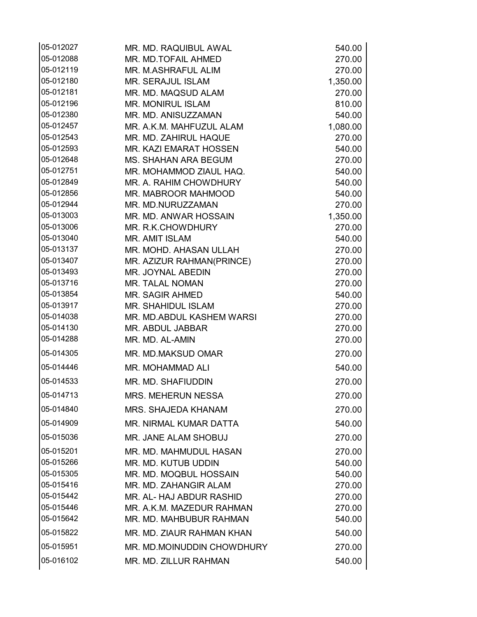| 05-012027              | MR. MD. RAQUIBUL AWAL                          | 540.00           |
|------------------------|------------------------------------------------|------------------|
| 05-012088              | MR. MD.TOFAIL AHMED                            | 270.00           |
| 05-012119              | MR. M.ASHRAFUL ALIM                            | 270.00           |
| 05-012180              | <b>MR. SERAJUL ISLAM</b>                       | 1,350.00         |
| 05-012181              | MR. MD. MAQSUD ALAM                            | 270.00           |
| 05-012196              | <b>MR. MONIRUL ISLAM</b>                       | 810.00           |
| 05-012380              | MR. MD. ANISUZZAMAN                            | 540.00           |
| 05-012457              | MR. A.K.M. MAHFUZUL ALAM                       | 1,080.00         |
| 05-012543              | MR. MD. ZAHIRUL HAQUE                          | 270.00           |
| 05-012593              | MR. KAZI EMARAT HOSSEN                         | 540.00           |
| 05-012648              | <b>MS. SHAHAN ARA BEGUM</b>                    | 270.00           |
| 05-012751              | MR. MOHAMMOD ZIAUL HAQ.                        | 540.00           |
| 05-012849              | MR. A. RAHIM CHOWDHURY                         | 540.00           |
| 05-012856              | MR. MABROOR MAHMOOD                            | 540.00           |
| 05-012944              | MR. MD.NURUZZAMAN                              | 270.00           |
| 05-013003              | MR. MD. ANWAR HOSSAIN                          | 1,350.00         |
| 05-013006              | MR. R.K.CHOWDHURY                              | 270.00           |
| 05-013040<br>05-013137 | <b>MR. AMIT ISLAM</b>                          | 540.00           |
| 05-013407              | MR. MOHD. AHASAN ULLAH                         | 270.00<br>270.00 |
| 05-013493              | MR. AZIZUR RAHMAN(PRINCE)<br>MR. JOYNAL ABEDIN | 270.00           |
| 05-013716              | MR. TALAL NOMAN                                | 270.00           |
| 05-013854              | <b>MR. SAGIR AHMED</b>                         | 540.00           |
| 05-013917              | <b>MR. SHAHIDUL ISLAM</b>                      | 270.00           |
| 05-014038              | MR. MD.ABDUL KASHEM WARSI                      | 270.00           |
| 05-014130              | MR. ABDUL JABBAR                               | 270.00           |
| 05-014288              | MR. MD. AL-AMIN                                | 270.00           |
| 05-014305              | MR. MD.MAKSUD OMAR                             | 270.00           |
| 05-014446              | MR. MOHAMMAD ALI                               | 540.00           |
| 05-014533              | MR. MD. SHAFIUDDIN                             | 270.00           |
| 05-014713              | <b>MRS. MEHERUN NESSA</b>                      | 270.00           |
| 05-014840              | <b>MRS. SHAJEDA KHANAM</b>                     | 270.00           |
| 05-014909              | MR. NIRMAL KUMAR DATTA                         | 540.00           |
| 05-015036              | MR. JANE ALAM SHOBUJ                           | 270.00           |
| 05-015201              | MR. MD. MAHMUDUL HASAN                         | 270.00           |
| 05-015266              | MR. MD. KUTUB UDDIN                            | 540.00           |
| 05-015305              | MR. MD. MOQBUL HOSSAIN                         | 540.00           |
| 05-015416              | MR. MD. ZAHANGIR ALAM                          | 270.00           |
| 05-015442              | MR. AL- HAJ ABDUR RASHID                       | 270.00           |
| 05-015446              | MR. A.K.M. MAZEDUR RAHMAN                      | 270.00           |
| 05-015642              | MR. MD. MAHBUBUR RAHMAN                        | 540.00           |
| 05-015822              | MR. MD. ZIAUR RAHMAN KHAN                      | 540.00           |
| 05-015951              | MR. MD.MOINUDDIN CHOWDHURY                     | 270.00           |
| 05-016102              | MR. MD. ZILLUR RAHMAN                          | 540.00           |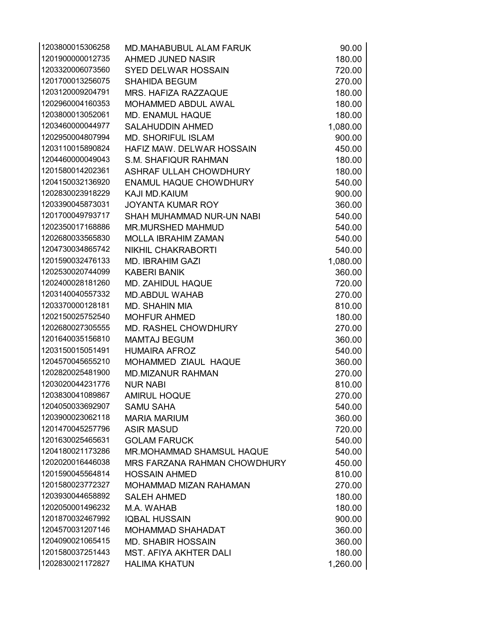| 1203800015306258 | <b>MD.MAHABUBUL ALAM FARUK</b>   | 90.00    |
|------------------|----------------------------------|----------|
| 1201900000012735 | AHMED JUNED NASIR                | 180.00   |
| 1203320006073560 | <b>SYED DELWAR HOSSAIN</b>       | 720.00   |
| 1201700013256075 | <b>SHAHIDA BEGUM</b>             | 270.00   |
| 1203120009204791 | MRS. HAFIZA RAZZAQUE             | 180.00   |
| 1202960004160353 | MOHAMMED ABDUL AWAL              | 180.00   |
| 1203800013052061 | <b>MD. ENAMUL HAQUE</b>          | 180.00   |
| 1203460000044977 | <b>SALAHUDDIN AHMED</b>          | 1,080.00 |
| 1202950004807994 | <b>MD. SHORIFUL ISLAM</b>        | 900.00   |
| 1203110015890824 | HAFIZ MAW. DELWAR HOSSAIN        | 450.00   |
| 1204460000049043 | <b>S.M. SHAFIQUR RAHMAN</b>      | 180.00   |
| 1201580014202361 | ASHRAF ULLAH CHOWDHURY           | 180.00   |
| 1204150032136920 | <b>ENAMUL HAQUE CHOWDHURY</b>    | 540.00   |
| 1202830023918229 | KAJI MD.KAIUM                    | 900.00   |
| 1203390045873031 | <b>JOYANTA KUMAR ROY</b>         | 360.00   |
| 1201700049793717 | SHAH MUHAMMAD NUR-UN NABI        | 540.00   |
| 1202350017168886 | <b>MR.MURSHED MAHMUD</b>         | 540.00   |
| 1202680033565830 | <b>MOLLA IBRAHIM ZAMAN</b>       | 540.00   |
| 1204730034865742 | <b>NIKHIL CHAKRABORTI</b>        | 540.00   |
| 1201590032476133 | <b>MD. IBRAHIM GAZI</b>          | 1,080.00 |
| 1202530020744099 | <b>KABERI BANIK</b>              | 360.00   |
| 1202400028181260 | <b>MD. ZAHIDUL HAQUE</b>         | 720.00   |
| 1203140040557332 | <b>MD.ABDUL WAHAB</b>            | 270.00   |
| 1203370000128181 | <b>MD. SHAHIN MIA</b>            | 810.00   |
| 1202150025752540 | <b>MOHFUR AHMED</b>              | 180.00   |
| 1202680027305555 | <b>MD. RASHEL CHOWDHURY</b>      | 270.00   |
| 1201640035156810 | <b>MAMTAJ BEGUM</b>              | 360.00   |
| 1203150015051491 | <b>HUMAIRA AFROZ</b>             | 540.00   |
| 1204570045655210 | MOHAMMED ZIAUL HAQUE             | 360.00   |
| 1202820025481900 | <b>MD.MIZANUR RAHMAN</b>         | 270.00   |
| 1203020044231776 | <b>NUR NABI</b>                  | 810.00   |
| 1203830041089867 | <b>AMIRUL HOQUE</b>              | 270.00   |
| 1204050033692907 | <b>SAMU SAHA</b>                 | 540.00   |
| 1203900023062118 | <b>MARIA MARIUM</b>              | 360.00   |
| 1201470045257796 | <b>ASIR MASUD</b>                | 720.00   |
| 1201630025465631 | <b>GOLAM FARUCK</b>              | 540.00   |
| 1204180021173286 | <b>MR.MOHAMMAD SHAMSUL HAQUE</b> | 540.00   |
| 1202020016446038 | MRS FARZANA RAHMAN CHOWDHURY     | 450.00   |
| 1201590045564814 | <b>HOSSAIN AHMED</b>             | 810.00   |
| 1201580023772327 | <b>MOHAMMAD MIZAN RAHAMAN</b>    | 270.00   |
| 1203930044658892 | <b>SALEH AHMED</b>               | 180.00   |
| 1202050001496232 | M.A. WAHAB                       | 180.00   |
| 1201870032467992 | <b>IQBAL HUSSAIN</b>             | 900.00   |
| 1204570031207146 | <b>MOHAMMAD SHAHADAT</b>         | 360.00   |
| 1204090021065415 | <b>MD. SHABIR HOSSAIN</b>        | 360.00   |
| 1201580037251443 | <b>MST. AFIYA AKHTER DALI</b>    | 180.00   |
| 1202830021172827 | <b>HALIMA KHATUN</b>             | 1,260.00 |